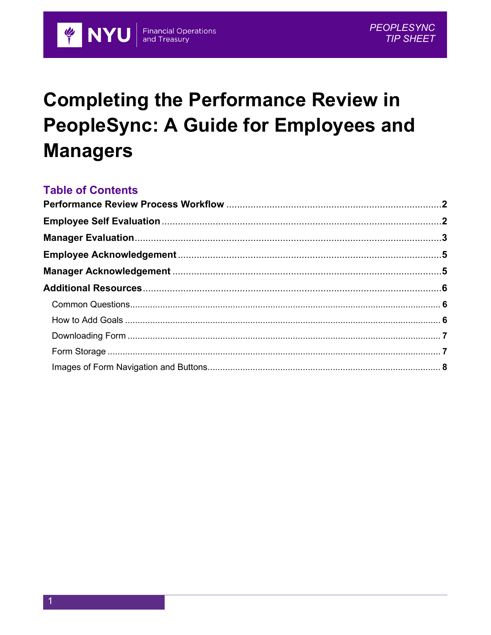# **Completing the Performance Review in PeopleSync: A Guide for Employees and Managers**

**Financial Operations**<br>and Treasury

#### **Table of Contents**

**E NYU**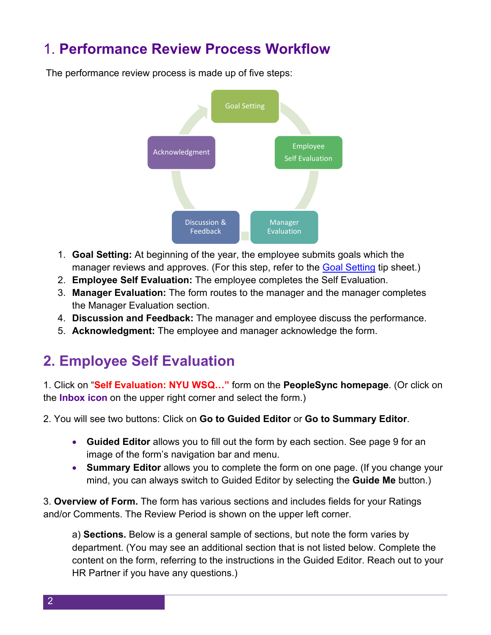### 1. **Performance Review Process Workflow**



The performance review process is made up of five steps:

- 1. **Goal Setting:** At beginning of the year, the employee submits goals which the manager reviews and approves. (For this step, refer to the [Goal Setting](https://www.nyu.edu/content/dam/nyu/hr/documents/performance/PerfCommGoalSettingTipSheet.pdf) tip sheet.)
- 2. **Employee Self Evaluation:** The employee completes the Self Evaluation.
- 3. **Manager Evaluation:** The form routes to the manager and the manager completes the Manager Evaluation section.
- 4. **Discussion and Feedback:** The manager and employee discuss the performance.
- 5. **Acknowledgment:** The employee and manager acknowledge the form.

#### **2. Employee Self Evaluation**

1. Click on "**Self Evaluation: NYU WSQ…"** form on the **PeopleSync homepage**. (Or click on the **Inbox icon** on the upper right corner and select the form.)

2. You will see two buttons: Click on **Go to Guided Editor** or **Go to Summary Editor**.

- **Guided Editor** allows you to fill out the form by each section. See page 9 for an image of the form's navigation bar and menu.
- **Summary Editor** allows you to complete the form on one page. (If you change your mind, you can always switch to Guided Editor by selecting the **Guide Me** button.)

3. **Overview of Form.** The form has various sections and includes fields for your Ratings and/or Comments. The Review Period is shown on the upper left corner.

a) **Sections.** Below is a general sample of sections, but note the form varies by department. (You may see an additional section that is not listed below. Complete the content on the form, referring to the instructions in the Guided Editor. Reach out to your HR Partner if you have any questions.)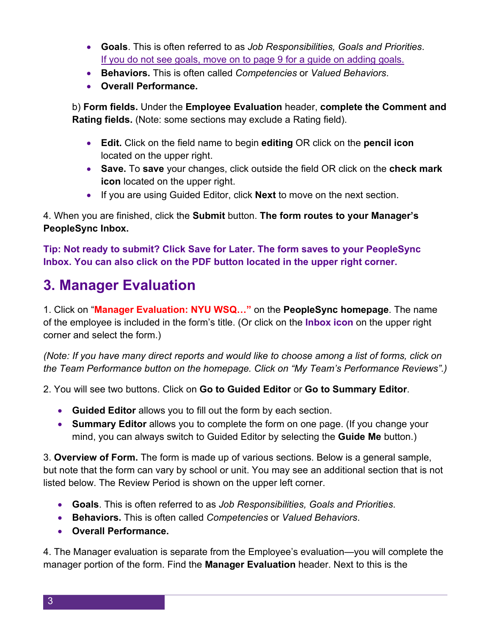- **Goals**. This is often referred to as *Job Responsibilities, Goals and Priorities*. If you do not see goals, move on to page 9 for a guide on adding goals.
- **Behaviors.** This is often called *Competencies* or *Valued Behaviors*.
- **Overall Performance.**

b) **Form fields.** Under the **Employee Evaluation** header, **complete the Comment and Rating fields.** (Note: some sections may exclude a Rating field).

- **Edit.** Click on the field name to begin **editing** OR click on the **pencil icon** located on the upper right.
- **Save.** To **save** your changes, click outside the field OR click on the **check mark icon** located on the upper right.
- If you are using Guided Editor, click **Next** to move on the next section.

4. When you are finished, click the **Submit** button. **The form routes to your Manager's PeopleSync Inbox.**

**Tip: Not ready to submit? Click Save for Later. The form saves to your PeopleSync Inbox. You can also click on the PDF button located in the upper right corner.**

## **3. Manager Evaluation**

1. Click on "**Manager Evaluation: NYU WSQ…"** on the **PeopleSync homepage**. The name of the employee is included in the form's title. (Or click on the **Inbox icon** on the upper right corner and select the form.)

*(Note: If you have many direct reports and would like to choose among a list of forms, click on the Team Performance button on the homepage. Click on "My Team's Performance Reviews".)*

2. You will see two buttons. Click on **Go to Guided Editor** or **Go to Summary Editor**.

- **Guided Editor** allows you to fill out the form by each section.
- **Summary Editor** allows you to complete the form on one page. (If you change your mind, you can always switch to Guided Editor by selecting the **Guide Me** button.)

3. **Overview of Form.** The form is made up of various sections. Below is a general sample, but note that the form can vary by school or unit. You may see an additional section that is not listed below. The Review Period is shown on the upper left corner.

- **Goals**. This is often referred to as *Job Responsibilities, Goals and Priorities*.
- **Behaviors.** This is often called *Competencies* or *Valued Behaviors*.
- **Overall Performance.**

4. The Manager evaluation is separate from the Employee's evaluation—you will complete the manager portion of the form. Find the **Manager Evaluation** header. Next to this is the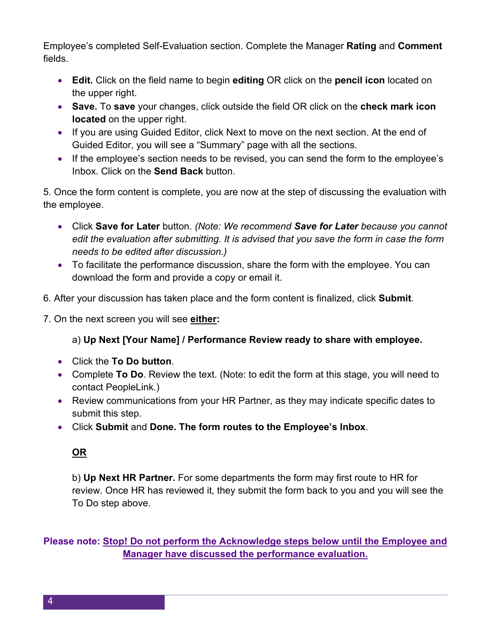Employee's completed Self-Evaluation section. Complete the Manager **Rating** and **Comment**  fields.

- **Edit.** Click on the field name to begin **editing** OR click on the **pencil icon** located on the upper right.
- **Save.** To **save** your changes, click outside the field OR click on the **check mark icon located** on the upper right.
- If you are using Guided Editor, click Next to move on the next section. At the end of Guided Editor, you will see a "Summary" page with all the sections.
- If the employee's section needs to be revised, you can send the form to the employee's Inbox. Click on the **Send Back** button.

5. Once the form content is complete, you are now at the step of discussing the evaluation with the employee.

- Click **Save for Later** button. *(Note: We recommend Save for Later because you cannot edit the evaluation after submitting. It is advised that you save the form in case the form needs to be edited after discussion.)*
- To facilitate the performance discussion, share the form with the employee. You can download the form and provide a copy or email it.
- 6. After your discussion has taken place and the form content is finalized, click **Submit**.

7. On the next screen you will see **either:**

a) **Up Next [Your Name] / Performance Review ready to share with employee.** 

- Click the **To Do button**.
- Complete **To Do**. Review the text. (Note: to edit the form at this stage, you will need to contact PeopleLink.)
- Review communications from your HR Partner, as they may indicate specific dates to submit this step.
- Click **Submit** and **Done. The form routes to the Employee's Inbox**.

#### **OR**

b) **Up Next HR Partner.** For some departments the form may first route to HR for review. Once HR has reviewed it, they submit the form back to you and you will see the To Do step above.

**Please note: Stop! Do not perform the Acknowledge steps below until the Employee and Manager have discussed the performance evaluation.**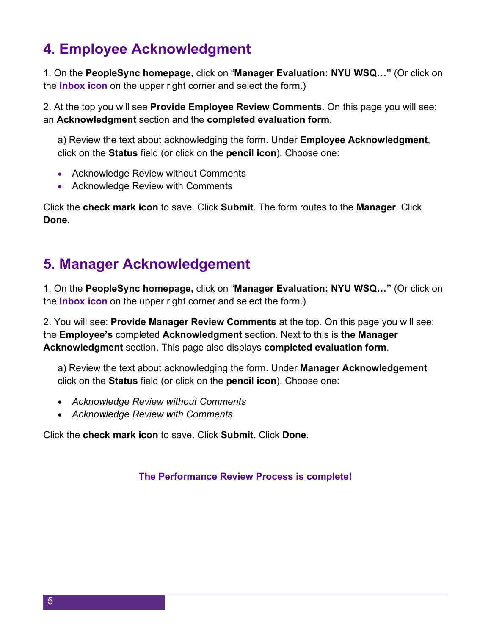# **4. Employee Acknowledgment**

1. On the **PeopleSync homepage,** click on "**Manager Evaluation: NYU WSQ…"** (Or click on the **Inbox icon** on the upper right corner and select the form.)

2. At the top you will see **Provide Employee Review Comments**. On this page you will see: an **Acknowledgment** section and the **completed evaluation form**.

a) Review the text about acknowledging the form. Under **Employee Acknowledgment**, click on the **Status** field (or click on the **pencil icon**). Choose one:

- Acknowledge Review without Comments
- Acknowledge Review with Comments

Click the **check mark icon** to save. Click **Submit**. The form routes to the **Manager**. Click **Done.**

#### **5. Manager Acknowledgement**

1. On the **PeopleSync homepage,** click on "**Manager Evaluation: NYU WSQ…"** (Or click on the **Inbox icon** on the upper right corner and select the form.)

2. You will see: **Provide Manager Review Comments** at the top. On this page you will see: the **Employee's** completed **Acknowledgment** section. Next to this is **the Manager Acknowledgment** section. This page also displays **completed evaluation form**.

a) Review the text about acknowledging the form. Under **Manager Acknowledgement** click on the **Status** field (or click on the **pencil icon**). Choose one:

- *Acknowledge Review without Comments*
- *Acknowledge Review with Comments*

Click the **check mark icon** to save. Click **Submit**. Click **Done**.

**The Performance Review Process is complete!**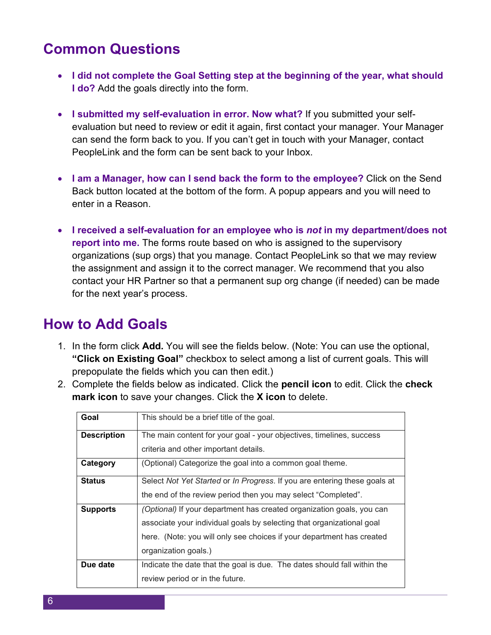#### **Common Questions**

- **I did not complete the Goal Setting step at the beginning of the year, what should I do?** Add the goals directly into the form.
- **I submitted my self-evaluation in error. Now what?** If you submitted your selfevaluation but need to review or edit it again, first contact your manager. Your Manager can send the form back to you. If you can't get in touch with your Manager, contact PeopleLink and the form can be sent back to your Inbox.
- **I am a Manager, how can I send back the form to the employee?** Click on the Send Back button located at the bottom of the form. A popup appears and you will need to enter in a Reason.
- **I received a self-evaluation for an employee who is** *not* **in my department/does not report into me.** The forms route based on who is assigned to the supervisory organizations (sup orgs) that you manage. Contact PeopleLink so that we may review the assignment and assign it to the correct manager. We recommend that you also contact your HR Partner so that a permanent sup org change (if needed) can be made for the next year's process.

#### **How to Add Goals**

- 1. In the form click **Add.** You will see the fields below. (Note: You can use the optional, **"Click on Existing Goal"** checkbox to select among a list of current goals. This will prepopulate the fields which you can then edit.)
- 2. Complete the fields below as indicated. Click the **pencil icon** to edit. Click the **check mark icon** to save your changes. Click the **X icon** to delete.

| Goal               | This should be a brief title of the goal.                                 |  |  |  |  |
|--------------------|---------------------------------------------------------------------------|--|--|--|--|
| <b>Description</b> | The main content for your goal - your objectives, timelines, success      |  |  |  |  |
|                    | criteria and other important details.                                     |  |  |  |  |
| Category           | (Optional) Categorize the goal into a common goal theme.                  |  |  |  |  |
| <b>Status</b>      | Select Not Yet Started or In Progress. If you are entering these goals at |  |  |  |  |
|                    | the end of the review period then you may select "Completed".             |  |  |  |  |
| <b>Supports</b>    | (Optional) If your department has created organization goals, you can     |  |  |  |  |
|                    | associate your individual goals by selecting that organizational goal     |  |  |  |  |
|                    | here. (Note: you will only see choices if your department has created     |  |  |  |  |
|                    | organization goals.)                                                      |  |  |  |  |
| Due date           | Indicate the date that the goal is due. The dates should fall within the  |  |  |  |  |
|                    | review period or in the future.                                           |  |  |  |  |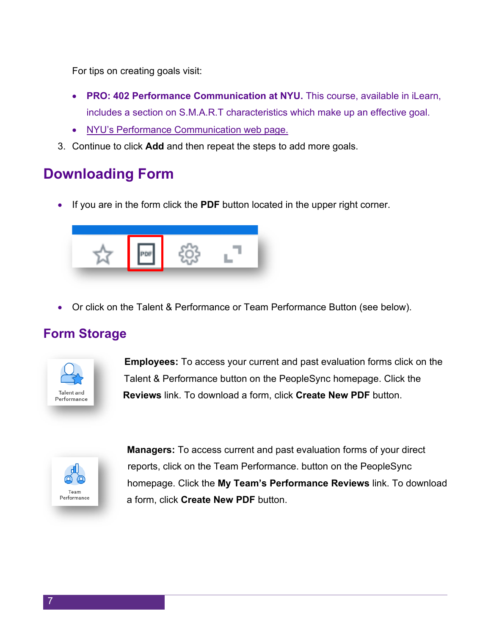For tips on creating goals visit:

- **PRO: 402 Performance Communication at NYU.** This course, available in iLearn, includes a section on S.M.A.R.T characteristics which make up an effective goal.
- [NYU's Performance Communication web page.](https://www.nyu.edu/employees/career-development/performance-communicationprocess.html)
- 3. Continue to click **Add** and then repeat the steps to add more goals.

# **Downloading Form**

• If you are in the form click the **PDF** button located in the upper right corner.



• Or click on the Talent & Performance or Team Performance Button (see below).

#### **Form Storage**



**Employees:** To access your current and past evaluation forms click on the Talent & Performance button on the PeopleSync homepage. Click the **Reviews** link. To download a form, click **Create New PDF** button.



 **Managers:** To access current and past evaluation forms of your direct reports, click on the Team Performance. button on the PeopleSync homepage. Click the **My Team's Performance Reviews** link. To download a form, click **Create New PDF** button.